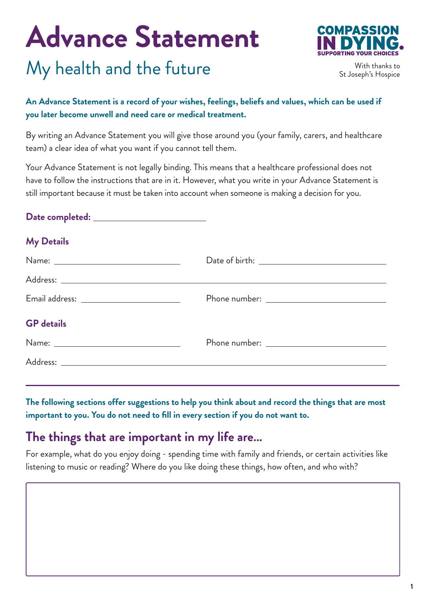# **Advance Statement**

### My health and the future



With thanks to St Joseph's Hospice

#### **An Advance Statement is a record of your wishes, feelings, beliefs and values, which can be used if you later become unwell and need care or medical treatment.**

By writing an Advance Statement you will give those around you (your family, carers, and healthcare team) a clear idea of what you want if you cannot tell them.

Your Advance Statement is not legally binding. This means that a healthcare professional does not have to follow the instructions that are in it. However, what you write in your Advance Statement is still important because it must be taken into account when someone is making a decision for you.

#### **Date completed:**

#### **My Details**

|                   | Date of birth: $\overline{\phantom{a}}$ |
|-------------------|-----------------------------------------|
|                   |                                         |
|                   |                                         |
| <b>GP</b> details |                                         |
|                   |                                         |
|                   |                                         |

**The following sections offer suggestions to help you think about and record the things that are most important to you. You do not need to fill in every section if you do not want to.**

#### **The things that are important in my life are…**

For example, what do you enjoy doing - spending time with family and friends, or certain activities like listening to music or reading? Where do you like doing these things, how often, and who with?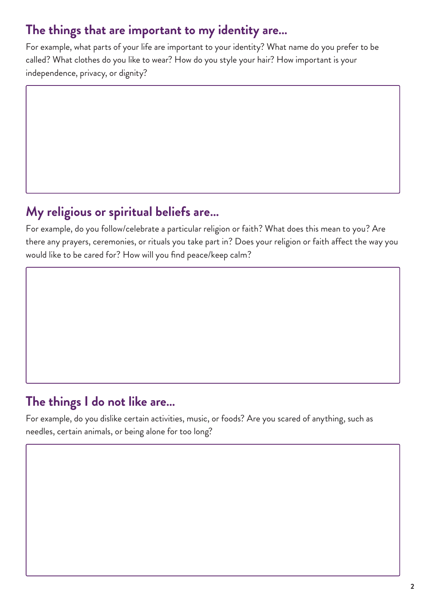#### **The things that are important to my identity are…**

For example, what parts of your life are important to your identity? What name do you prefer to be called? What clothes do you like to wear? How do you style your hair? How important is your independence, privacy, or dignity?

#### **My religious or spiritual beliefs are…**

For example, do you follow/celebrate a particular religion or faith? What does this mean to you? Are there any prayers, ceremonies, or rituals you take part in? Does your religion or faith affect the way you would like to be cared for? How will you find peace/keep calm?

#### **The things I do not like are…**

For example, do you dislike certain activities, music, or foods? Are you scared of anything, such as needles, certain animals, or being alone for too long?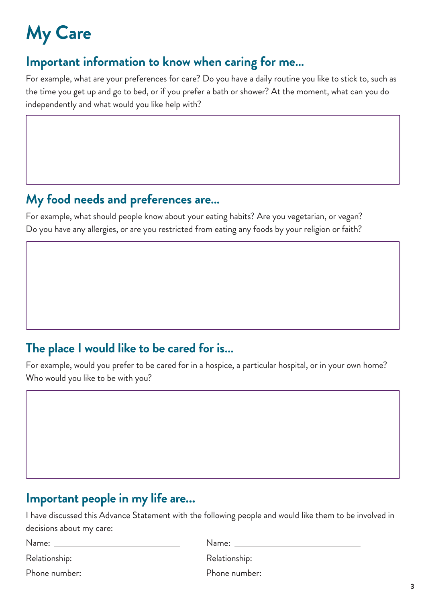## **My Care**

#### **Important information to know when caring for me…**

For example, what are your preferences for care? Do you have a daily routine you like to stick to, such as the time you get up and go to bed, or if you prefer a bath or shower? At the moment, what can you do independently and what would you like help with?

#### **My food needs and preferences are…**

For example, what should people know about your eating habits? Are you vegetarian, or vegan? Do you have any allergies, or are you restricted from eating any foods by your religion or faith?

#### **The place I would like to be cared for is…**

For example, would you prefer to be cared for in a hospice, a particular hospital, or in your own home? Who would you like to be with you?

#### **Important people in my life are...**

I have discussed this Advance Statement with the following people and would like them to be involved in decisions about my care:

| Name:         | Name:         |
|---------------|---------------|
|               |               |
| Phone number: | Phone number: |